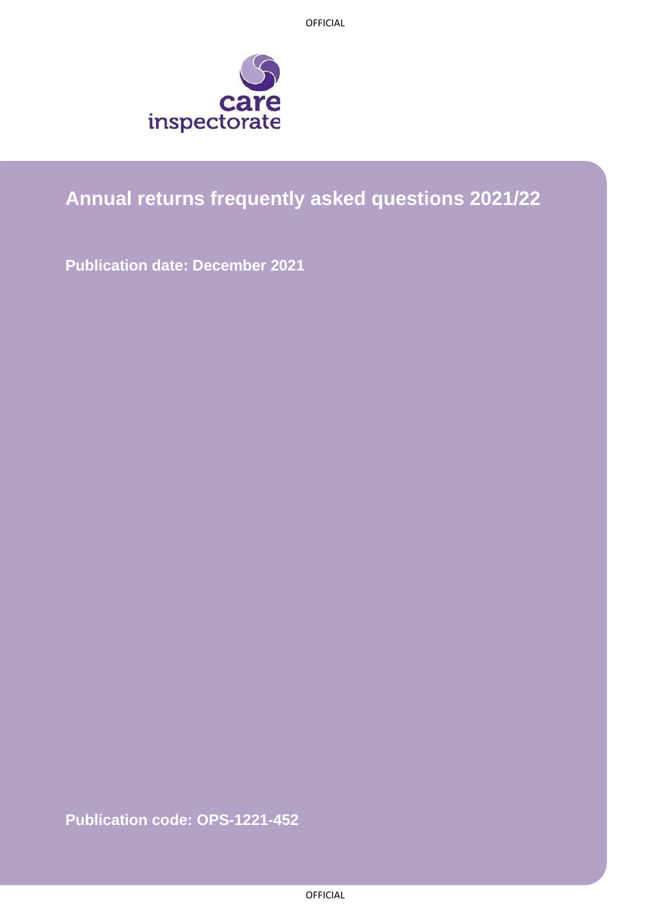OFFICIAL



# **Annual returns frequently asked questions 2021/22**

**Publication date: December 2021**

**Publication code: OPS-1221-452**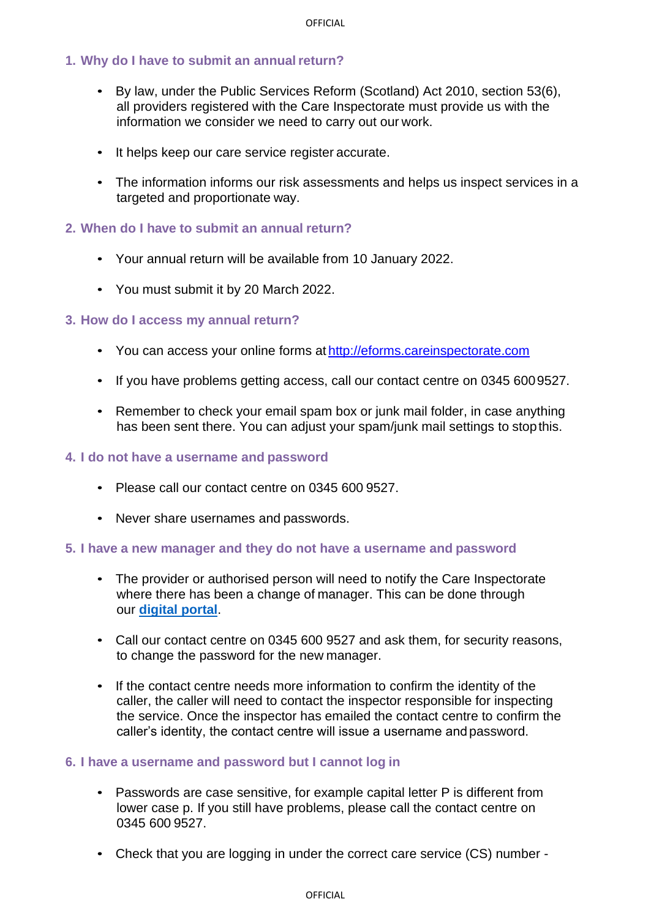# **1. Why do I have to submit an annualreturn?**

- By law, under the Public Services Reform (Scotland) Act 2010, section 53(6), all providers registered with the Care Inspectorate must provide us with the information we consider we need to carry out our work.
- It helps keep our care service register accurate.
- The information informs our risk assessments and helps us inspect services in a targeted and proportionate way.

#### **2. When do I have to submit an annual return?**

- Your annual return will be available from 10 January 2022.
- You must submit it by 20 March 2022.

#### **3. How do I access my annual return?**

- You can access your online forms at [http://eforms.careinspectorate.com](http://eforms.careinspectorate.com/)
- If you have problems getting access, call our contact centre on 0345 6009527.
- Remember to check your email spam box or junk mail folder, in case anything has been sent there. You can adjust your spam/junk mail settings to stopthis.

#### **4. I do not have a username and password**

- Please call our contact centre on 0345 600 9527.
- Never share usernames and passwords.

#### **5. I have a new manager and they do not have a username and password**

- The provider or authorised person will need to notify the Care Inspectorate where there has been a change of manager. This can be done through our **[digital portal](https://portal.careinspectorate.gov.scot/account/login)**.
- Call our contact centre on 0345 600 9527 and ask them, for security reasons, to change the password for the new manager.
- If the contact centre needs more information to confirm the identity of the caller, the caller will need to contact the inspector responsible for inspecting the service. Once the inspector has emailed the contact centre to confirm the caller's identity, the contact centre will issue a username andpassword.

#### **6. I have a username and password but I cannot log in**

- Passwords are case sensitive, for example capital letter P is different from lower case p. If you still have problems, please call the contact centre on 0345 600 9527.
- Check that you are logging in under the correct care service (CS) number -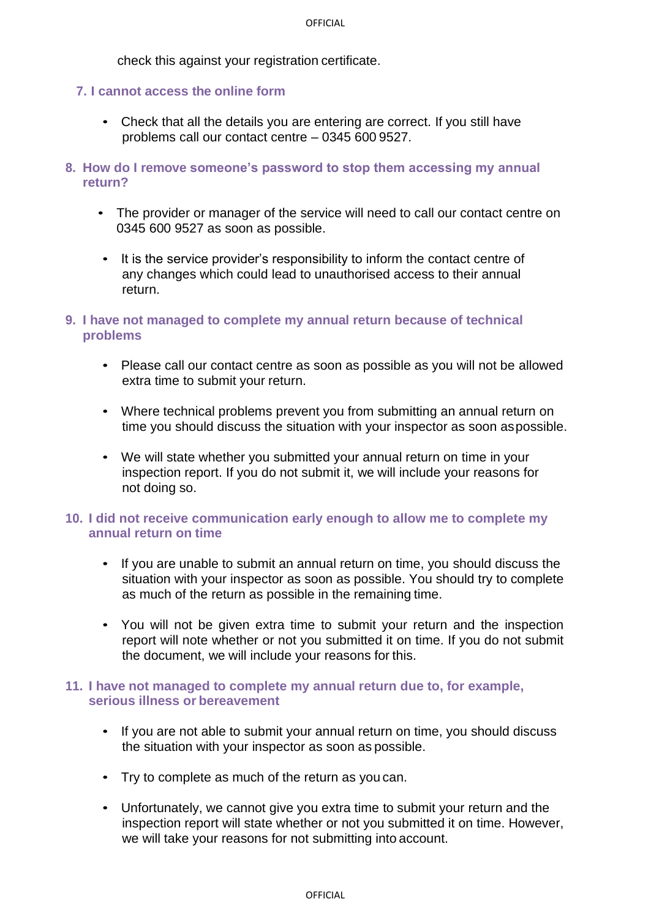check this against your registration certificate.

#### **7. I cannot access the online form**

- Check that all the details you are entering are correct. If you still have problems call our contact centre – 0345 600 9527.
- **8. How do I remove someone's password to stop them accessing my annual return?**
	- The provider or manager of the service will need to call our contact centre on 0345 600 9527 as soon as possible.
	- It is the service provider's responsibility to inform the contact centre of any changes which could lead to unauthorised access to their annual return.
- **9. I have not managed to complete my annual return because of technical problems**
	- Please call our contact centre as soon as possible as you will not be allowed extra time to submit your return.
	- Where technical problems prevent you from submitting an annual return on time you should discuss the situation with your inspector as soon aspossible.
	- We will state whether you submitted your annual return on time in your inspection report. If you do not submit it, we will include your reasons for not doing so.

# **10. I did not receive communication early enough to allow me to complete my annual return on time**

- If you are unable to submit an annual return on time, you should discuss the situation with your inspector as soon as possible. You should try to complete as much of the return as possible in the remaining time.
- You will not be given extra time to submit your return and the inspection report will note whether or not you submitted it on time. If you do not submit the document, we will include your reasons for this.

#### **11. I have not managed to complete my annual return due to, for example, serious illness or bereavement**

- If you are not able to submit your annual return on time, you should discuss the situation with your inspector as soon as possible.
- Try to complete as much of the return as you can.
- Unfortunately, we cannot give you extra time to submit your return and the inspection report will state whether or not you submitted it on time. However, we will take your reasons for not submitting into account.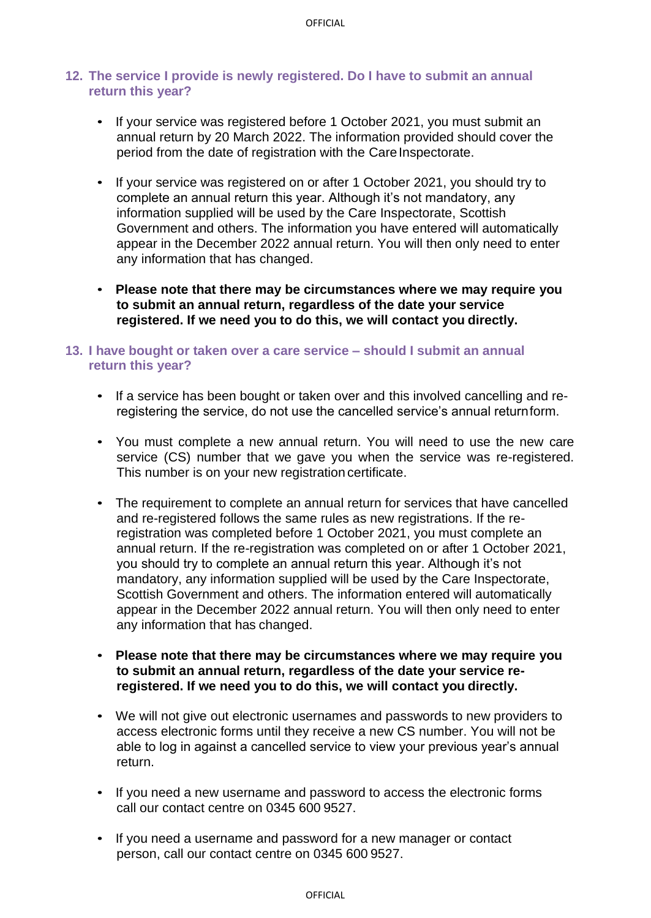#### **12. The service I provide is newly registered. Do I have to submit an annual return this year?**

- If your service was registered before 1 October 2021, you must submit an annual return by 20 March 2022. The information provided should cover the period from the date of registration with the Care Inspectorate.
- If your service was registered on or after 1 October 2021, you should try to complete an annual return this year. Although it's not mandatory, any information supplied will be used by the Care Inspectorate, Scottish Government and others. The information you have entered will automatically appear in the December 2022 annual return. You will then only need to enter any information that has changed.
- **Please note that there may be circumstances where we may require you to submit an annual return, regardless of the date your service registered. If we need you to do this, we will contact you directly.**

#### **13. I have bought or taken over a care service – should I submit an annual return this year?**

- If a service has been bought or taken over and this involved cancelling and reregistering the service, do not use the cancelled service's annual returnform.
- You must complete a new annual return. You will need to use the new care service (CS) number that we gave you when the service was re-registered. This number is on your new registration certificate.
- The requirement to complete an annual return for services that have cancelled and re-registered follows the same rules as new registrations. If the reregistration was completed before 1 October 2021, you must complete an annual return. If the re-registration was completed on or after 1 October 2021, you should try to complete an annual return this year. Although it's not mandatory, any information supplied will be used by the Care Inspectorate, Scottish Government and others. The information entered will automatically appear in the December 2022 annual return. You will then only need to enter any information that has changed.
- **Please note that there may be circumstances where we may require you to submit an annual return, regardless of the date your service reregistered. If we need you to do this, we will contact you directly.**
- We will not give out electronic usernames and passwords to new providers to access electronic forms until they receive a new CS number. You will not be able to log in against a cancelled service to view your previous year's annual return.
- If you need a new username and password to access the electronic forms call our contact centre on 0345 600 9527.
- If you need a username and password for a new manager or contact person, call our contact centre on 0345 600 9527.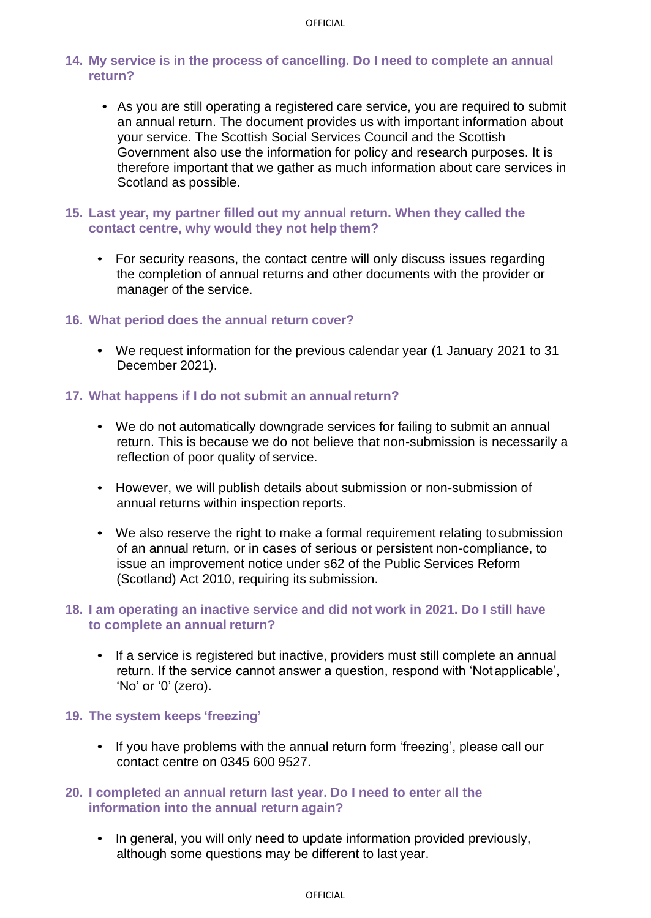# **14. My service is in the process of cancelling. Do I need to complete an annual return?**

- As you are still operating a registered care service, you are required to submit an annual return. The document provides us with important information about your service. The Scottish Social Services Council and the Scottish Government also use the information for policy and research purposes. It is therefore important that we gather as much information about care services in Scotland as possible.
- **15. Last year, my partner filled out my annual return. When they called the contact centre, why would they not help them?**
	- For security reasons, the contact centre will only discuss issues regarding the completion of annual returns and other documents with the provider or manager of the service.

#### **16. What period does the annual return cover?**

• We request information for the previous calendar year (1 January 2021 to 31 December 2021).

# **17. What happens if I do not submit an annualreturn?**

- We do not automatically downgrade services for failing to submit an annual return. This is because we do not believe that non-submission is necessarily a reflection of poor quality of service.
- However, we will publish details about submission or non-submission of annual returns within inspection reports.
- We also reserve the right to make a formal requirement relating tosubmission of an annual return, or in cases of serious or persistent non-compliance, to issue an improvement notice under s62 of the Public Services Reform (Scotland) Act 2010, requiring its submission.

# **18. I am operating an inactive service and did not work in 2021. Do I still have to complete an annual return?**

• If a service is registered but inactive, providers must still complete an annual return. If the service cannot answer a question, respond with 'Notapplicable', 'No' or '0' (zero).

#### **19. The system keeps 'freezing'**

• If you have problems with the annual return form 'freezing', please call our contact centre on 0345 600 9527.

# **20. I completed an annual return last year. Do I need to enter all the information into the annual return again?**

• In general, you will only need to update information provided previously, although some questions may be different to last year.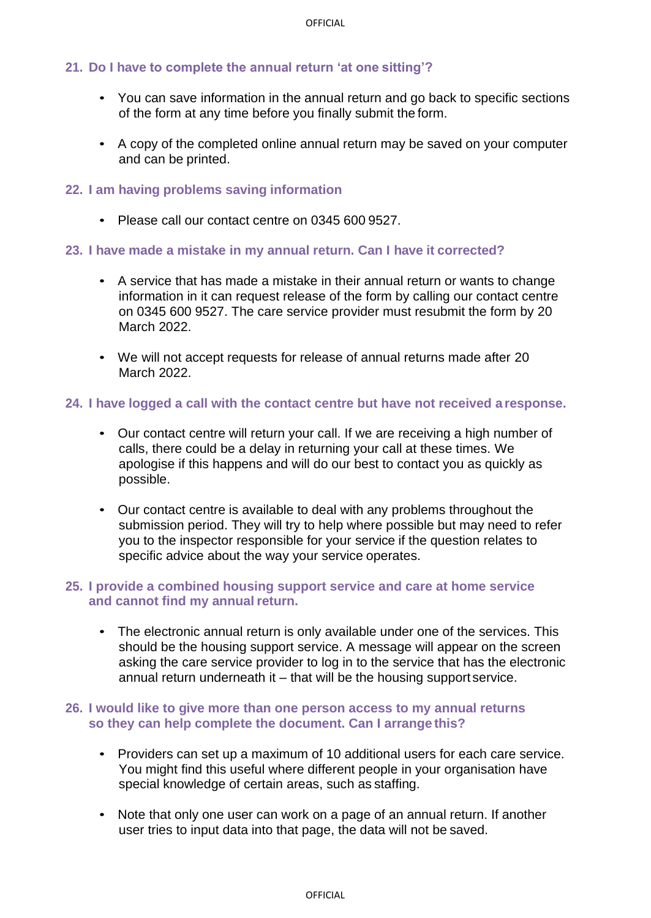# **21. Do I have to complete the annual return 'at one sitting'?**

- You can save information in the annual return and go back to specific sections of the form at any time before you finally submit the form.
- A copy of the completed online annual return may be saved on your computer and can be printed.

#### **22. I am having problems saving information**

• Please call our contact centre on 0345 600 9527.

#### **23. I have made a mistake in my annual return. Can I have it corrected?**

- A service that has made a mistake in their annual return or wants to change information in it can request release of the form by calling our contact centre on 0345 600 9527. The care service provider must resubmit the form by 20 March 2022.
- We will not accept requests for release of annual returns made after 20 March 2022.

#### **24. I have logged a call with the contact centre but have not received a response.**

- Our contact centre will return your call. If we are receiving a high number of calls, there could be a delay in returning your call at these times. We apologise if this happens and will do our best to contact you as quickly as possible.
- Our contact centre is available to deal with any problems throughout the submission period. They will try to help where possible but may need to refer you to the inspector responsible for your service if the question relates to specific advice about the way your service operates.

#### **25. I provide a combined housing support service and care at home service and cannot find my annual return.**

• The electronic annual return is only available under one of the services. This should be the housing support service. A message will appear on the screen asking the care service provider to log in to the service that has the electronic annual return underneath it – that will be the housing support service.

#### **26. I would like to give more than one person access to my annual returns so they can help complete the document. Can I arrange this?**

- Providers can set up a maximum of 10 additional users for each care service. You might find this useful where different people in your organisation have special knowledge of certain areas, such as staffing.
- Note that only one user can work on a page of an annual return. If another user tries to input data into that page, the data will not be saved.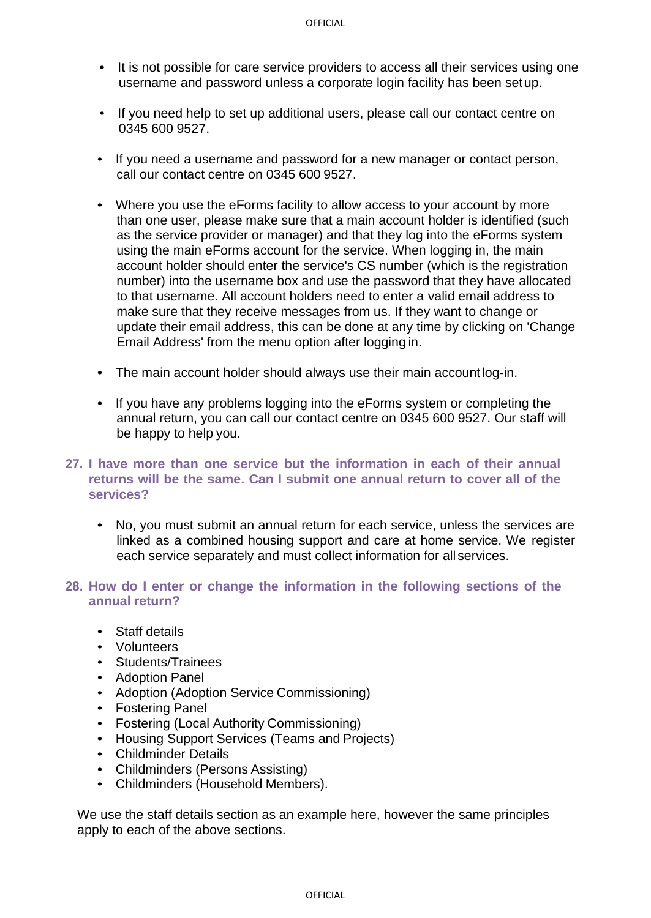- It is not possible for care service providers to access all their services using one username and password unless a corporate login facility has been setup.
- If you need help to set up additional users, please call our contact centre on 0345 600 9527.
- If you need a username and password for a new manager or contact person, call our contact centre on 0345 600 9527.
- Where you use the eForms facility to allow access to your account by more than one user, please make sure that a main account holder is identified (such as the service provider or manager) and that they log into the eForms system using the main eForms account for the service. When logging in, the main account holder should enter the service's CS number (which is the registration number) into the username box and use the password that they have allocated to that username. All account holders need to enter a valid email address to make sure that they receive messages from us. If they want to change or update their email address, this can be done at any time by clicking on 'Change Email Address' from the menu option after logging in.
- The main account holder should always use their main accountlog-in.
- If you have any problems logging into the eForms system or completing the annual return, you can call our contact centre on 0345 600 9527. Our staff will be happy to help you.
- **27. I have more than one service but the information in each of their annual returns will be the same. Can I submit one annual return to cover all of the services?**
	- No, you must submit an annual return for each service, unless the services are linked as a combined housing support and care at home service. We register each service separately and must collect information for all services.
- **28. How do I enter or change the information in the following sections of the annual return?**
	- Staff details
	- Volunteers
	- Students/Trainees
	- Adoption Panel
	- Adoption (Adoption Service Commissioning)
	- Fostering Panel
	- Fostering (Local Authority Commissioning)
	- Housing Support Services (Teams and Projects)
	- Childminder Details
	- Childminders (Persons Assisting)
	- Childminders (Household Members).

We use the staff details section as an example here, however the same principles apply to each of the above sections.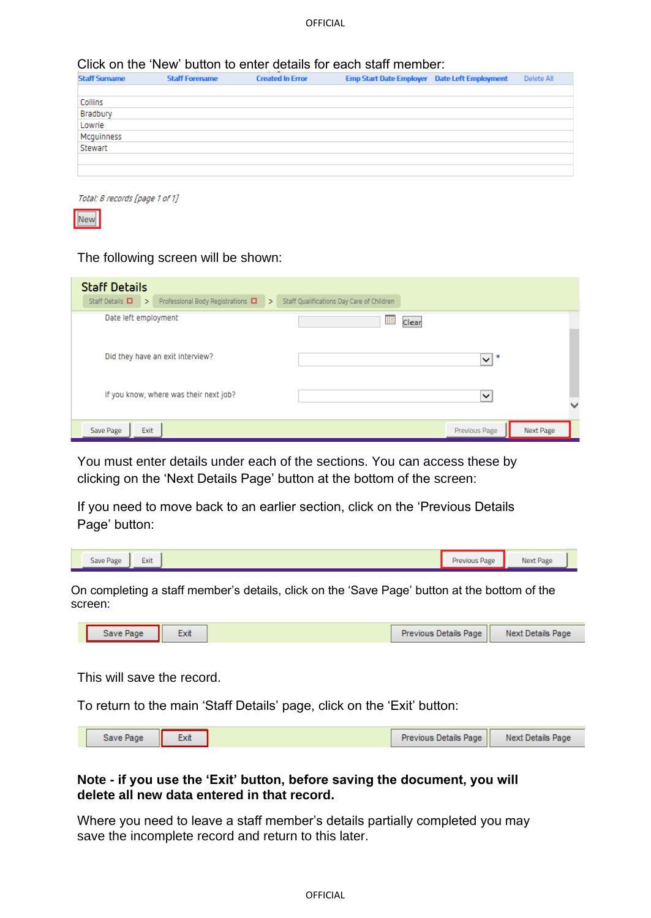#### Click on the 'New' button to enter details for each staff member:

| <b>Staff Surname</b>  | <b>Staff Forename</b> | <b>Created In Error</b> | <b>Emp Start Date Employer</b> Date Left Employment | Delete All |
|-----------------------|-----------------------|-------------------------|-----------------------------------------------------|------------|
|                       |                       |                         |                                                     |            |
| Collins               |                       |                         |                                                     |            |
| Bradbury              |                       |                         |                                                     |            |
| Lowrie                |                       |                         |                                                     |            |
| Mcguinness<br>Stewart |                       |                         |                                                     |            |
|                       |                       |                         |                                                     |            |
|                       |                       |                         |                                                     |            |
|                       |                       |                         |                                                     |            |

Total: 8 records [page 1 of 1]



#### The following screen will be shown:

| <b>Staff Details</b><br>Staff Details $\mathbf{E}$ ><br>Professional Body Registrations E<br>$\rightarrow$ | Staff Qualifications Day Care of Children |                   |                          |
|------------------------------------------------------------------------------------------------------------|-------------------------------------------|-------------------|--------------------------|
| Date left employment                                                                                       | ▦<br>Clear                                |                   |                          |
| Did they have an exit interview?                                                                           |                                           | x<br>$\checkmark$ |                          |
| If you know, where was their next job?                                                                     |                                           | $\check{ }$       | $\overline{\phantom{a}}$ |
| Exit<br>Save Page                                                                                          |                                           | Previous Page     | Next Page                |

You must enter details under each of the sections. You can access these by clicking on the 'Next Details Page' button at the bottom of the screen:

If you need to move back to an earlier section, click on the 'Previous Details Page' button:

|  | $ -$<br>Save Page<br>Exit |  | Previous Page<br>⊶ | Next Page<br><b><i><u>PEAL</u></i></b> |
|--|---------------------------|--|--------------------|----------------------------------------|
|--|---------------------------|--|--------------------|----------------------------------------|

On completing a staff member's details, click on the 'Save Page' button at the bottom of the screen:

| Previous Details Page<br><b>Next Details Page</b><br>Save Page<br>:XII |
|------------------------------------------------------------------------|
|------------------------------------------------------------------------|

This will save the record.

To return to the main 'Staff Details' page, click on the 'Exit' button:

| Previous Details Page |
|-----------------------|
|-----------------------|

#### **Note - if you use the 'Exit' button, before saving the document, you will delete all new data entered in that record.**

Where you need to leave a staff member's details partially completed you may save the incomplete record and return to this later.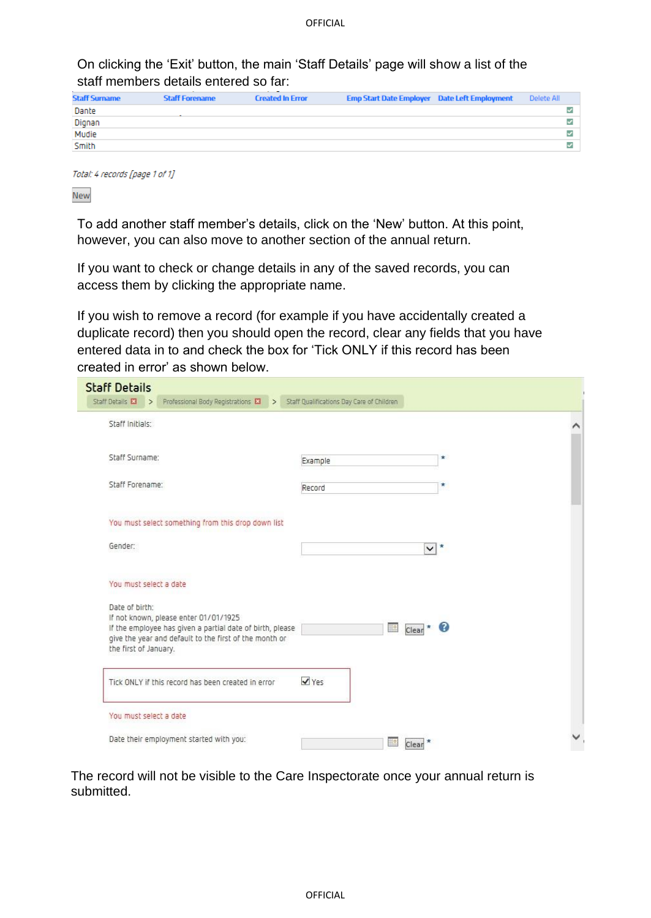On clicking the 'Exit' button, the main 'Staff Details' page will show a list of the staff members details entered so far:

| <b>Staff Surname</b> | <b>Staff Forename</b> | <b>Created In Error</b> | <b>Emp Start Date Employer Date Left Employment</b> | Delete All   |
|----------------------|-----------------------|-------------------------|-----------------------------------------------------|--------------|
| Dante                |                       |                         |                                                     | ✓            |
| Dignan               |                       |                         |                                                     | $\checkmark$ |
| Mudie                |                       |                         |                                                     | v            |
| <b>Smith</b>         |                       |                         |                                                     | ✓            |
|                      |                       |                         |                                                     |              |

Total: 4 records [page 1 of 1]

New

To add another staff member's details, click on the 'New' button. At this point, however, you can also move to another section of the annual return.

If you want to check or change details in any of the saved records, you can access them by clicking the appropriate name.

If you wish to remove a record (for example if you have accidentally created a duplicate record) then you should open the record, clear any fields that you have entered data in to and check the box for 'Tick ONLY if this record has been created in error' as shown below.

| <b>Staff Details</b><br>Staff Details E3<br>Professional Body Registrations $\Box$ > Staff Qualifications Day Care of Children<br>$\rightarrow$                                                         |                      |              |
|---------------------------------------------------------------------------------------------------------------------------------------------------------------------------------------------------------|----------------------|--------------|
| Staff Initials:                                                                                                                                                                                         |                      | Λ            |
| Staff Surname:                                                                                                                                                                                          | Example              | $\pmb{\ast}$ |
| Staff Forename:                                                                                                                                                                                         | Record               | κ            |
| You must select something from this drop down list                                                                                                                                                      |                      |              |
| Gender:                                                                                                                                                                                                 |                      | $\vee$ *     |
| You must select a date                                                                                                                                                                                  |                      |              |
| Date of birth:<br>If not known, please enter 01/01/1925<br>If the employee has given a partial date of birth, please<br>give the year and default to the first of the month or<br>the first of January. | 靈<br>$Clear^{\star}$ | 3            |
| Tick ONLY if this record has been created in error                                                                                                                                                      | V Yes                |              |
| You must select a date                                                                                                                                                                                  |                      |              |
| Date their employment started with you:                                                                                                                                                                 | 驧<br>Clear           |              |

The record will not be visible to the Care Inspectorate once your annual return is submitted.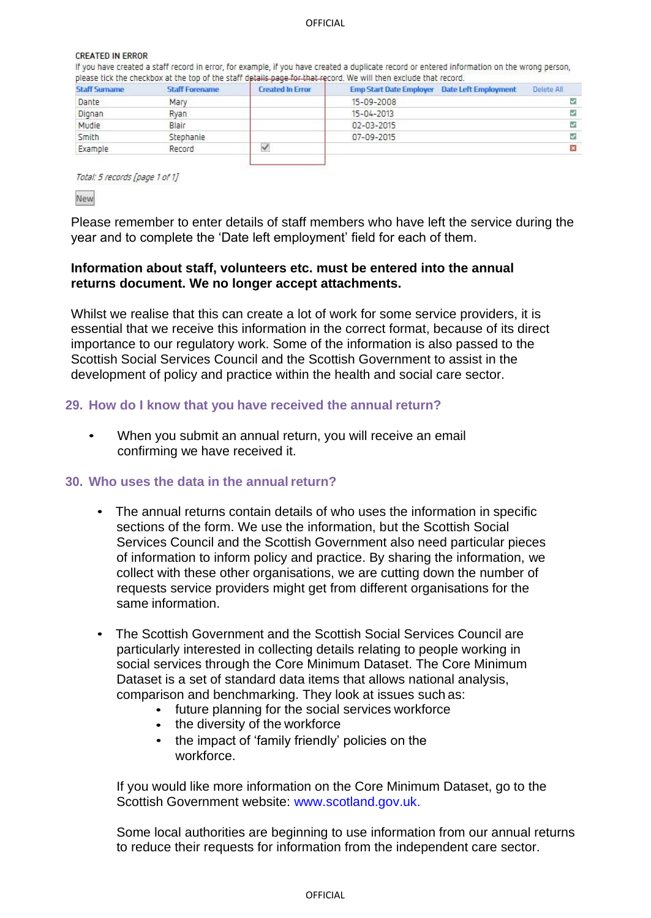**OFFICIAL** 

#### **CREATED IN ERROR**

If you have created a staff record in error, for example, if you have created a duplicate record or entered information on the wrong person, please tick the checkbox at the top of the staff details page for that record. We will then exclude that record.

|                      |                       | ___                     |                                                                   |                |
|----------------------|-----------------------|-------------------------|-------------------------------------------------------------------|----------------|
| <b>Staff Surname</b> | <b>Staff Forename</b> | <b>Created In Error</b> | <b>STATISTICS</b><br>Emp Start Date Employer Date Left Employment | Delete All.    |
| Dante                | Mary                  |                         | 15-09-2008                                                        | z              |
| Dignan               | Ryan                  |                         | 15-04-2013                                                        | s.             |
| Mudie                | Blair                 |                         | 02-03-2015                                                        | v              |
| Smith                | Stephanie             |                         | 07-09-2015                                                        | J.             |
| Example              | Record                | $\checkmark$            |                                                                   | $\pmb{\times}$ |
|                      |                       |                         |                                                                   |                |

Total: 5 records [page 1 of 1]

New

Please remember to enter details of staff members who have left the service during the year and to complete the 'Date left employment' field for each of them.

#### **Information about staff, volunteers etc. must be entered into the annual returns document. We no longer accept attachments.**

Whilst we realise that this can create a lot of work for some service providers, it is essential that we receive this information in the correct format, because of its direct importance to our regulatory work. Some of the information is also passed to the Scottish Social Services Council and the Scottish Government to assist in the development of policy and practice within the health and social care sector.

#### **29. How do I know that you have received the annual return?**

• When you submit an annual return, you will receive an email confirming we have received it.

#### **30. Who uses the data in the annualreturn?**

- The annual returns contain details of who uses the information in specific sections of the form. We use the information, but the Scottish Social Services Council and the Scottish Government also need particular pieces of information to inform policy and practice. By sharing the information, we collect with these other organisations, we are cutting down the number of requests service providers might get from different organisations for the same information.
- The Scottish Government and the Scottish Social Services Council are particularly interested in collecting details relating to people working in social services through the Core Minimum Dataset. The Core Minimum Dataset is a set of standard data items that allows national analysis, comparison and benchmarking. They look at issues such as:
	- future planning for the social services workforce
	- the diversity of the workforce
	- the impact of 'family friendly' policies on the workforce.

If you would like more information on the Core Minimum Dataset, go to the Scottish Government website: [www.scotland.gov.uk.](http://www.scotland.gov.uk/)

Some local authorities are beginning to use information from our annual returns to reduce their requests for information from the independent care sector.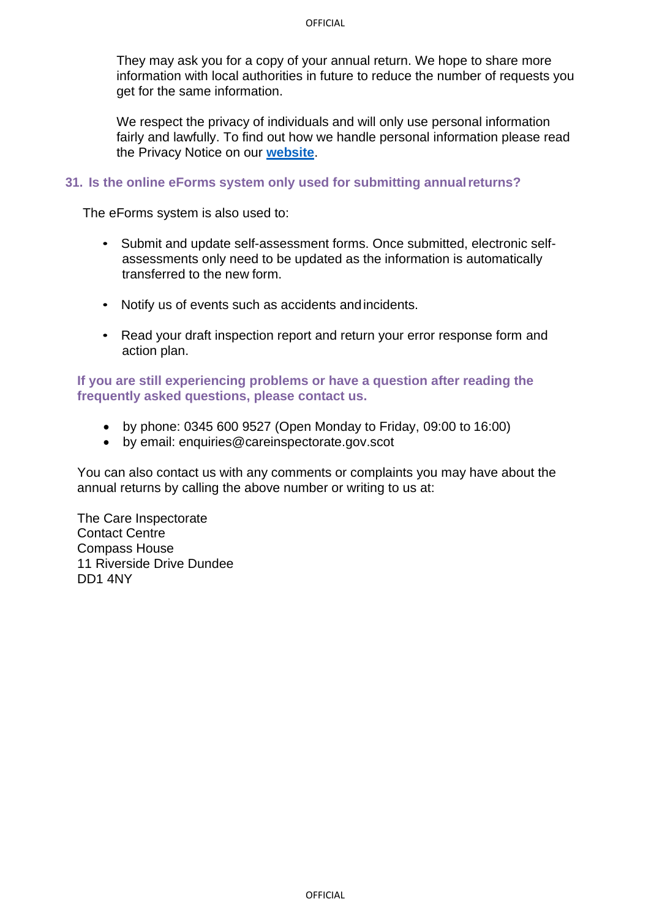They may ask you for a copy of your annual return. We hope to share more information with local authorities in future to reduce the number of requests you get for the same information.

We respect the privacy of individuals and will only use personal information fairly and lawfully. To find out how we handle personal information please read the Privacy Notice on our **[website](http://www.careinspectorate.com/index.php/core-privacy-notice)**.

#### **31. Is the online eForms system only used for submitting annualreturns?**

The eForms system is also used to:

- Submit and update self-assessment forms. Once submitted, electronic selfassessments only need to be updated as the information is automatically transferred to the new form.
- Notify us of events such as accidents andincidents.
- Read your draft inspection report and return your error response form and action plan.

# **If you are still experiencing problems or have a question after reading the frequently asked questions, please contact us.**

- by phone: 0345 600 9527 (Open Monday to Friday, 09:00 to 16:00)
- by email: [enquiries@careinspectorate.gov.scot](mailto:enquiries@careinspectorate.gov.scot)

You can also contact us with any comments or complaints you may have about the annual returns by calling the above number or writing to us at:

The Care Inspectorate Contact Centre Compass House 11 Riverside Drive Dundee DD1 4NY